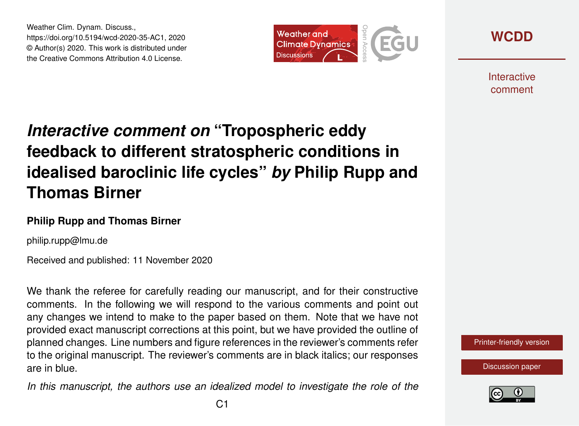Weather Clim. Dynam. Discuss., https://doi.org/10.5194/wcd-2020-35-AC1, 2020 © Author(s) 2020. This work is distributed under the Creative Commons Attribution 4.0 License.



**[WCDD](https://wcd.copernicus.org/preprints/)**

**Interactive** comment

## *Interactive comment on* **"Tropospheric eddy feedback to different stratospheric conditions in idealised baroclinic life cycles"** *by* **Philip Rupp and Thomas Birner**

## **Philip Rupp and Thomas Birner**

philip.rupp@lmu.de

Received and published: 11 November 2020

We thank the referee for carefully reading our manuscript, and for their constructive comments. In the following we will respond to the various comments and point out any changes we intend to make to the paper based on them. Note that we have not provided exact manuscript corrections at this point, but we have provided the outline of planned changes. Line numbers and figure references in the reviewer's comments refer to the original manuscript. The reviewer's comments are in black italics; our responses are in blue.

*In this manuscript, the authors use an idealized model to investigate the role of the*



[Discussion paper](https://wcd.copernicus.org/preprints/wcd-2020-35)

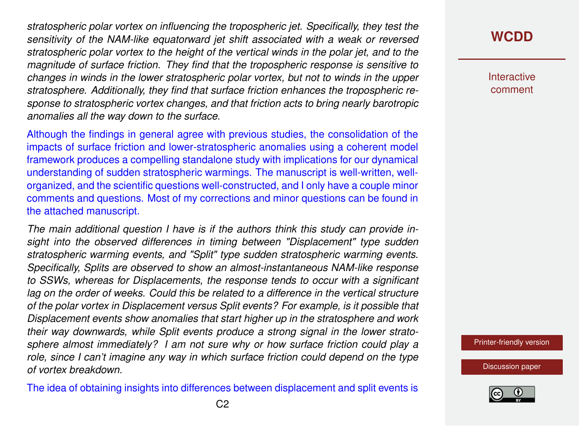*stratospheric polar vortex on influencing the tropospheric jet. Specifically, they test the sensitivity of the NAM-like equatorward jet shift associated with a weak or reversed stratospheric polar vortex to the height of the vertical winds in the polar jet, and to the magnitude of surface friction. They find that the tropospheric response is sensitive to changes in winds in the lower stratospheric polar vortex, but not to winds in the upper stratosphere. Additionally, they find that surface friction enhances the tropospheric response to stratospheric vortex changes, and that friction acts to bring nearly barotropic anomalies all the way down to the surface.*

Although the findings in general agree with previous studies, the consolidation of the impacts of surface friction and lower-stratospheric anomalies using a coherent model framework produces a compelling standalone study with implications for our dynamical understanding of sudden stratospheric warmings. The manuscript is well-written, wellorganized, and the scientific questions well-constructed, and I only have a couple minor comments and questions. Most of my corrections and minor questions can be found in the attached manuscript.

*The main additional question I have is if the authors think this study can provide insight into the observed differences in timing between "Displacement" type sudden stratospheric warming events, and "Split" type sudden stratospheric warming events. Specifically, Splits are observed to show an almost-instantaneous NAM-like response to SSWs, whereas for Displacements, the response tends to occur with a significant lag on the order of weeks. Could this be related to a difference in the vertical structure of the polar vortex in Displacement versus Split events? For example, is it possible that Displacement events show anomalies that start higher up in the stratosphere and work their way downwards, while Split events produce a strong signal in the lower stratosphere almost immediately? I am not sure why or how surface friction could play a role, since I can't imagine any way in which surface friction could depend on the type of vortex breakdown.*

The idea of obtaining insights into differences between displacement and split events is

## **[WCDD](https://wcd.copernicus.org/preprints/)**

**Interactive** comment

[Printer-friendly version](https://wcd.copernicus.org/preprints/wcd-2020-35/wcd-2020-35-AC1-print.pdf)

[Discussion paper](https://wcd.copernicus.org/preprints/wcd-2020-35)